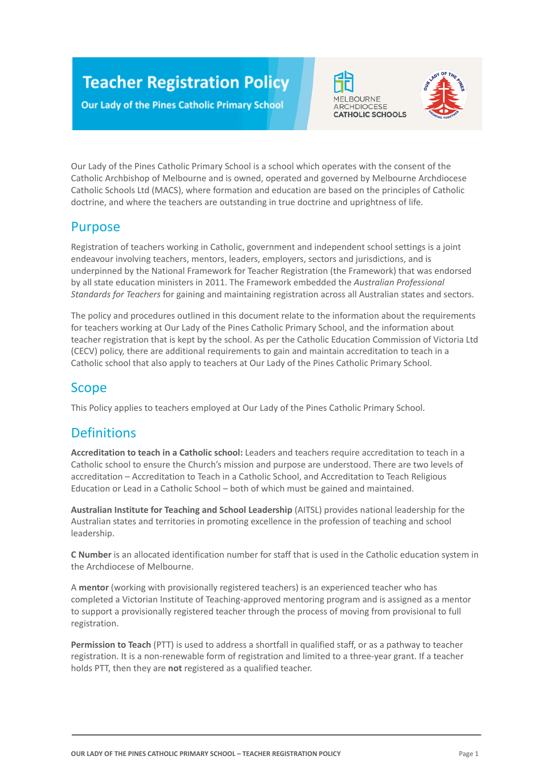# **Teacher Registration Policy**

**Our Lady of the Pines Catholic Primary School** 





Our Lady of the Pines Catholic Primary School is a school which operates with the consent of the Catholic Archbishop of Melbourne and is owned, operated and governed by Melbourne Archdiocese Catholic Schools Ltd (MACS), where formation and education are based on the principles of Catholic doctrine, and where the teachers are outstanding in true doctrine and uprightness of life.

## Purpose

Registration of teachers working in Catholic, government and independent school settings is a joint endeavour involving teachers, mentors, leaders, employers, sectors and jurisdictions, and is underpinned by the National Framework for Teacher Registration (the Framework) that was endorsed by all state education ministers in 2011. The Framework embedded the *Australian Professional Standards for Teachers* for gaining and maintaining registration across all Australian states and sectors.

The policy and procedures outlined in this document relate to the information about the requirements for teachers working at Our Lady of the Pines Catholic Primary School, and the information about teacher registration that is kept by the school. As per the Catholic Education Commission of Victoria Ltd (CECV) policy, there are additional requirements to gain and maintain accreditation to teach in a Catholic school that also apply to teachers at Our Lady of the Pines Catholic Primary School.

## Scope

This Policy applies to teachers employed at Our Lady of the Pines Catholic Primary School.

# **Definitions**

**Accreditation to teach in a Catholic school:** Leaders and teachers require accreditation to teach in a Catholic school to ensure the Church's mission and purpose are understood. There are two levels of accreditation – Accreditation to Teach in a Catholic School, and Accreditation to Teach Religious Education or Lead in a Catholic School – both of which must be gained and maintained.

**Australian Institute for Teaching and School Leadership** (AITSL) provides national leadership for the Australian states and territories in promoting excellence in the profession of teaching and school leadership.

**C Number** is an allocated identification number for staff that is used in the Catholic education system in the Archdiocese of Melbourne.

A **mentor** (working with provisionally registered teachers) is an experienced teacher who has completed a Victorian Institute of Teaching-approved mentoring program and is assigned as a mentor to support a provisionally registered teacher through the process of moving from provisional to full registration.

**Permission to Teach** (PTT) is used to address a shortfall in qualified staff, or as a pathway to teacher registration. It is a non-renewable form of registration and limited to a three-year grant. If a teacher holds PTT, then they are **not** registered as a qualified teacher.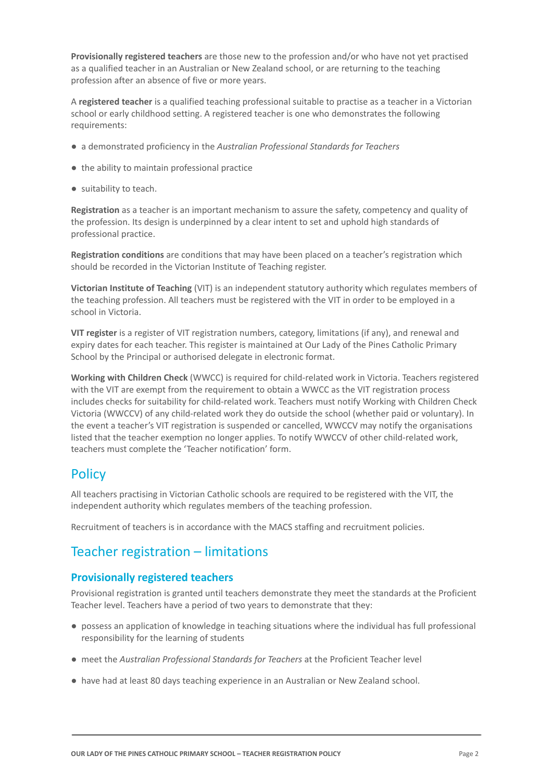**Provisionally registered teachers** are those new to the profession and/or who have not yet practised as a qualified teacher in an Australian or New Zealand school, or are returning to the teaching profession after an absence of five or more years.

A **registered teacher** is a qualified teaching professional suitable to practise as a teacher in a Victorian school or early childhood setting. A registered teacher is one who demonstrates the following requirements:

- a demonstrated proficiency in the *Australian Professional Standards for Teachers*
- the ability to maintain professional practice
- suitability to teach.

**Registration** as a teacher is an important mechanism to assure the safety, competency and quality of the profession. Its design is underpinned by a clear intent to set and uphold high standards of professional practice.

**Registration conditions** are conditions that may have been placed on a teacher's registration which should be recorded in the Victorian Institute of Teaching register.

**Victorian Institute of Teaching** (VIT) is an independent statutory authority which regulates members of the teaching profession. All teachers must be registered with the VIT in order to be employed in a school in Victoria.

**VIT register** is a register of VIT registration numbers, category, limitations (if any), and renewal and expiry dates for each teacher. This register is maintained at Our Lady of the Pines Catholic Primary School by the Principal or authorised delegate in electronic format.

**Working with Children Check** (WWCC) is required for child-related work in Victoria. Teachers registered with the VIT are exempt from the requirement to obtain a WWCC as the VIT registration process includes checks for suitability for child-related work. Teachers must notify Working with Children Check Victoria (WWCCV) of any child-related work they do outside the school (whether paid or voluntary). In the event a teacher's VIT registration is suspended or cancelled, WWCCV may notify the organisations listed that the teacher exemption no longer applies. To notify WWCCV of other child-related work, teachers must complete the 'Teacher notification' form.

### **Policy**

All teachers practising in Victorian Catholic schools are required to be registered with the VIT, the independent authority which regulates members of the teaching profession.

Recruitment of teachers is in accordance with the MACS staffing and recruitment policies.

### Teacher registration – limitations

#### **Provisionally registered teachers**

Provisional registration is granted until teachers demonstrate they meet the standards at the Proficient Teacher level. Teachers have a period of two years to demonstrate that they:

- possess an application of knowledge in teaching situations where the individual has full professional responsibility for the learning of students
- meet the *Australian Professional Standards for Teachers* at the Proficient Teacher level
- have had at least 80 days teaching experience in an Australian or New Zealand school.